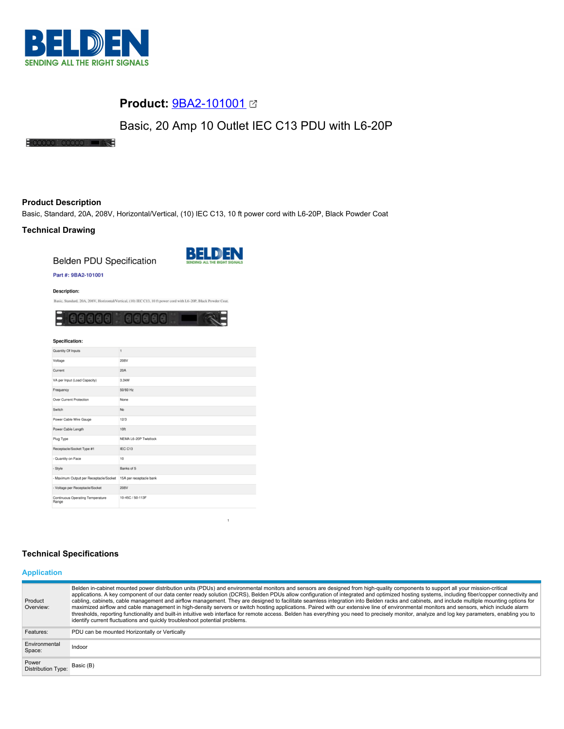

## **Product:** [9BA2-101001](https://catalog.belden.com/index.cfm?event=pd&p=PF_9BA2101001&tab=downloads)

# Basic, 20 Amp 10 Outlet IEC C13 PDU with L6-20P

## $\frac{1}{2}$  added  $\frac{1}{2}$  added  $\frac{1}{2}$

## **Product Description**

Basic, Standard, 20A, 208V, Horizontal/Vertical, (10) IEC C13, 10 ft power cord with L6-20P, Black Powder Coat

### **Technical Drawing**

**Belden PDU Specification** 



 $\mathbf{1}$ 

## Part #: 9BA2-101001

**Description:** 

Basic, Standard, 20A, 208V, Horizontal/Vertical, (10) IEC C13, 10 ft power cord with L6-20P, Black Powder Coat.



| Specification:                                   |                         |  |
|--------------------------------------------------|-------------------------|--|
| Quantity Of Inputs                               | 1                       |  |
| Voltage                                          | 208V                    |  |
| Current                                          | 20A                     |  |
| VA per Input (Load Capacity)                     | 3.3kW                   |  |
| Frequency                                        | 50/60 Hz                |  |
| Over Current Protection                          | None                    |  |
| Switch                                           | No                      |  |
| Power Cable Wire Gauge                           | 12/3                    |  |
| Power Cable Length                               | 10ft                    |  |
| Plug Type                                        | NEMA L6-20P Twistlock   |  |
| Receptacle/Socket Type #1                        | IEC C13                 |  |
| - Quantity on Face                               | 10                      |  |
| - Style                                          | Banks of 5              |  |
| - Maximum Output per Receptacle/Socket           | 15A per receptacle bank |  |
| - Voltage per Receptacle/Socket                  | 208V                    |  |
| <b>Continuous Operating Temperature</b><br>Range | 10-45C / 50-113F        |  |

## **Technical Specifications**

## **Application**

| Product<br>Overview:               | Belden in-cabinet mounted power distribution units (PDUs) and environmental monitors and sensors are designed from high-quality components to support all your mission-critical<br>applications. A key component of our data center ready solution (DCRS), Belden PDUs allow configuration of integrated and optimized hosting systems, including fiber/copper connectivity and<br>cabling, cabinets, cable management and airflow management. They are designed to facilitate seamless integration into Belden racks and cabinets, and include multiple mounting options for<br>maximized airflow and cable management in high-density servers or switch hosting applications. Paired with our extensive line of environmental monitors and sensors, which include alarm<br>thresholds, reporting functionality and built-in intuitive web interface for remote access. Belden has everything you need to precisely monitor, analyze and log key parameters, enabling you to<br>identify current fluctuations and quickly troubleshoot potential problems. |
|------------------------------------|-------------------------------------------------------------------------------------------------------------------------------------------------------------------------------------------------------------------------------------------------------------------------------------------------------------------------------------------------------------------------------------------------------------------------------------------------------------------------------------------------------------------------------------------------------------------------------------------------------------------------------------------------------------------------------------------------------------------------------------------------------------------------------------------------------------------------------------------------------------------------------------------------------------------------------------------------------------------------------------------------------------------------------------------------------------|
| Features:                          | PDU can be mounted Horizontally or Vertically                                                                                                                                                                                                                                                                                                                                                                                                                                                                                                                                                                                                                                                                                                                                                                                                                                                                                                                                                                                                               |
| Environmental<br>Space:            | Indoor                                                                                                                                                                                                                                                                                                                                                                                                                                                                                                                                                                                                                                                                                                                                                                                                                                                                                                                                                                                                                                                      |
| Power<br><b>Distribution Type:</b> | Basic (B)                                                                                                                                                                                                                                                                                                                                                                                                                                                                                                                                                                                                                                                                                                                                                                                                                                                                                                                                                                                                                                                   |